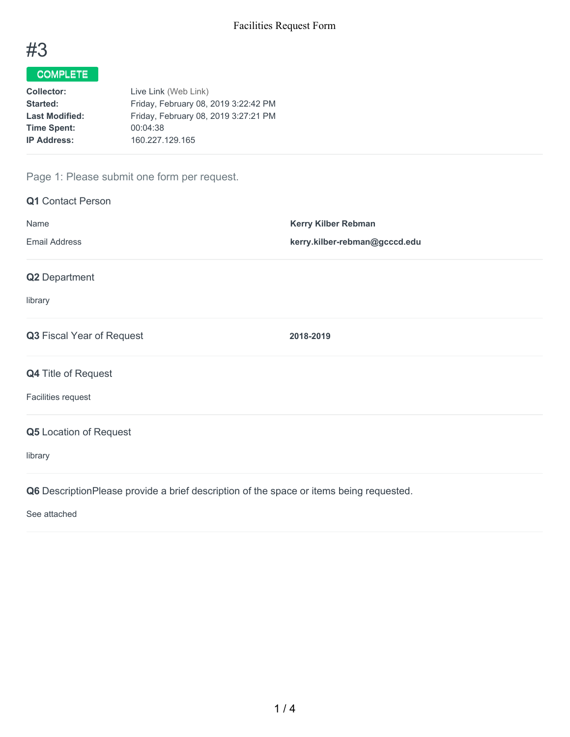

# COMPLETE

| <b>Collector:</b>     | Live Link (Web Link)                 |
|-----------------------|--------------------------------------|
| <b>Started:</b>       | Friday, February 08, 2019 3:22:42 PM |
| <b>Last Modified:</b> | Friday, February 08, 2019 3:27:21 PM |
| <b>Time Spent:</b>    | 00:04:38                             |
| <b>IP Address:</b>    | 160.227.129.165                      |

# Page 1: Please submit one form per request.

| <b>Q1</b> Contact Person                                                                |                               |
|-----------------------------------------------------------------------------------------|-------------------------------|
| Name                                                                                    | <b>Kerry Kilber Rebman</b>    |
| <b>Email Address</b>                                                                    | kerry.kilber-rebman@gcccd.edu |
| Q2 Department                                                                           |                               |
| library                                                                                 |                               |
| Q3 Fiscal Year of Request                                                               | 2018-2019                     |
| <b>Q4 Title of Request</b>                                                              |                               |
| Facilities request                                                                      |                               |
| <b>Q5</b> Location of Request                                                           |                               |
| library                                                                                 |                               |
| Q6 DescriptionPlease provide a brief description of the space or items being requested. |                               |

See attached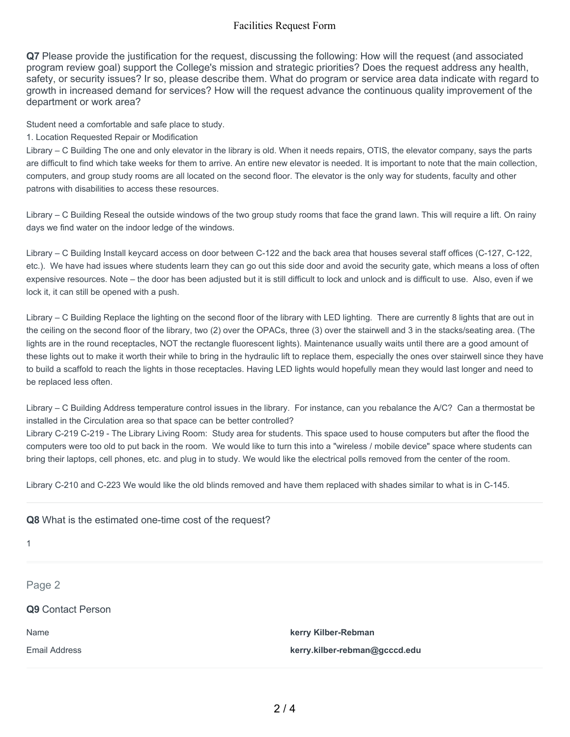### Facilities Request Form

**Q7** Please provide the justification for the request, discussing the following: How will the request (and associated program review goal) support the College's mission and strategic priorities? Does the request address any health, safety, or security issues? Ir so, please describe them. What do program or service area data indicate with regard to growth in increased demand for services? How will the request advance the continuous quality improvement of the department or work area?

Student need a comfortable and safe place to study.

1. Location Requested Repair or Modification

Library – C Building The one and only elevator in the library is old. When it needs repairs, OTIS, the elevator company, says the parts are difficult to find which take weeks for them to arrive. An entire new elevator is needed. It is important to note that the main collection, computers, and group study rooms are all located on the second floor. The elevator is the only way for students, faculty and other patrons with disabilities to access these resources.

Library – C Building Reseal the outside windows of the two group study rooms that face the grand lawn. This will require a lift. On rainy days we find water on the indoor ledge of the windows.

Library – C Building Install keycard access on door between C-122 and the back area that houses several staff offices (C-127, C-122, etc.). We have had issues where students learn they can go out this side door and avoid the security gate, which means a loss of often expensive resources. Note – the door has been adjusted but it is still difficult to lock and unlock and is difficult to use. Also, even if we lock it, it can still be opened with a push.

Library – C Building Replace the lighting on the second floor of the library with LED lighting. There are currently 8 lights that are out in the ceiling on the second floor of the library, two (2) over the OPACs, three (3) over the stairwell and 3 in the stacks/seating area. (The lights are in the round receptacles, NOT the rectangle fluorescent lights). Maintenance usually waits until there are a good amount of these lights out to make it worth their while to bring in the hydraulic lift to replace them, especially the ones over stairwell since they have to build a scaffold to reach the lights in those receptacles. Having LED lights would hopefully mean they would last longer and need to be replaced less often.

Library – C Building Address temperature control issues in the library. For instance, can you rebalance the A/C? Can a thermostat be installed in the Circulation area so that space can be better controlled?

Library C-219 C-219 - The Library Living Room: Study area for students. This space used to house computers but after the flood the computers were too old to put back in the room. We would like to turn this into a "wireless / mobile device" space where students can bring their laptops, cell phones, etc. and plug in to study. We would like the electrical polls removed from the center of the room.

Library C-210 and C-223 We would like the old blinds removed and have them replaced with shades similar to what is in C-145.

| $\mathbf{1}$             |                               |
|--------------------------|-------------------------------|
| Page 2                   |                               |
| <b>Q9</b> Contact Person |                               |
| Name                     | kerry Kilber-Rebman           |
| <b>Email Address</b>     | kerry.kilber-rebman@gcccd.edu |

**Q8** What is the estimated one-time cost of the request?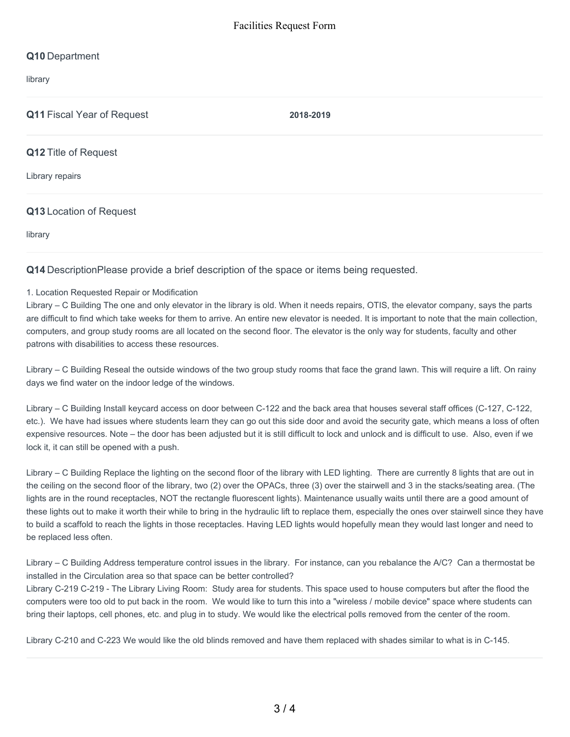## **Q10** Department

library

#### **Q11** Fiscal Year of Request **2018-2019**

#### **Q12** Title of Request

Library repairs

#### **Q13** Location of Request

library

#### **Q14** DescriptionPlease provide a brief description of the space or items being requested.

#### 1. Location Requested Repair or Modification

Library – C Building The one and only elevator in the library is old. When it needs repairs, OTIS, the elevator company, says the parts are difficult to find which take weeks for them to arrive. An entire new elevator is needed. It is important to note that the main collection, computers, and group study rooms are all located on the second floor. The elevator is the only way for students, faculty and other patrons with disabilities to access these resources.

Library – C Building Reseal the outside windows of the two group study rooms that face the grand lawn. This will require a lift. On rainy days we find water on the indoor ledge of the windows.

Library – C Building Install keycard access on door between C-122 and the back area that houses several staff offices (C-127, C-122, etc.). We have had issues where students learn they can go out this side door and avoid the security gate, which means a loss of often expensive resources. Note – the door has been adjusted but it is still difficult to lock and unlock and is difficult to use. Also, even if we lock it, it can still be opened with a push.

Library – C Building Replace the lighting on the second floor of the library with LED lighting. There are currently 8 lights that are out in the ceiling on the second floor of the library, two (2) over the OPACs, three (3) over the stairwell and 3 in the stacks/seating area. (The lights are in the round receptacles, NOT the rectangle fluorescent lights). Maintenance usually waits until there are a good amount of these lights out to make it worth their while to bring in the hydraulic lift to replace them, especially the ones over stairwell since they have to build a scaffold to reach the lights in those receptacles. Having LED lights would hopefully mean they would last longer and need to be replaced less often.

Library – C Building Address temperature control issues in the library. For instance, can you rebalance the A/C? Can a thermostat be installed in the Circulation area so that space can be better controlled?

Library C-219 C-219 - The Library Living Room: Study area for students. This space used to house computers but after the flood the computers were too old to put back in the room. We would like to turn this into a "wireless / mobile device" space where students can bring their laptops, cell phones, etc. and plug in to study. We would like the electrical polls removed from the center of the room.

Library C-210 and C-223 We would like the old blinds removed and have them replaced with shades similar to what is in C-145.